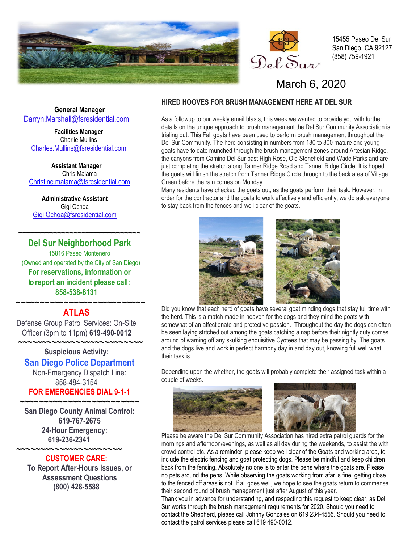



15455 Paseo Del Sur San Diego, CA 92127 (858) 759-1921

## March 6, 2020

**General Manager** Darryn[.Ma](mailto:Darryn.Marshall@fsresidential.com)rshall@fsresidential.com

**Facilities Manager** Charlie Mullins [Charles.Mullins@fsresidential.com](mailto:Charles.Mullins@fsresidential.com)

**Assistant Manager** Chris Malama [Christine.malama@fsresidential.com](mailto:Christine.malama@fsresidential.com)

**Administrative Assistant**  Gigi Ochoa [Gigi.Ochoa@fsresidential.com](mailto:Gigi.Ochoa@fsresidential.com)

 **~~~~~~~~~~~~~~~~~~~~~~~~~~~~~~~**

**Del Sur Neighborhood Park** 15816 Paseo Montenero (Owned and operated by the City of San Diego) **For reservations, information or to report an incident please call: 858-538-8131**

### **~~~~~~~~~~~~~~~~~~~~~~~~~~~ ATLAS**

Defense Group Patrol Services: On-Site Officer (3pm to 11pm) **619-490-0012**

 **~~~~~~~~~~~~~~~~~~~~~~~~~~ Suspicious Activity: San Diego Police Department**

> Non-Emergency Dispatch Line: 858-484-3154 **FOR EMERGENCIES DIAL 9-1-1**

**~~~~~~~~~~~~~~~~~~~~~~~~~ San Diego County Animal Control: 619-767-2675 24-Hour Emergency: 619-236-2341** 

#### **~~~~~~~~~~~~~~~~~~~~~~ CUSTOMER CARE:**

**To Report After-Hours Issues, or Assessment Questions (800) 428-5588**

### **HIRED HOOVES FOR BRUSH MANAGEMENT HERE AT DEL SUR**

As a followup to our weekly email blasts, this week we wanted to provide you with further details on the unique approach to brush management the Del Sur Community Association is trialing out. This Fall goats have been used to perform brush management throughout the Del Sur Community. The herd consisting in numbers from 130 to 300 mature and young goats have to date munched through the brush management zones around Artesian Ridge, the canyons from Camino Del Sur past High Rose, Old Stonefield and Wade Parks and are just completing the stretch along Tanner Ridge Road and Tanner Ridge Circle. It is hoped the goats will finish the stretch from Tanner Ridge Circle through to the back area of Village Green before the rain comes on Monday.

Many residents have checked the goats out, as the goats perform their task. However, in order for the contractor and the goats to work effectively and efficiently, we do ask everyone to stay back from the fences and well clear of the goats.



 Did you know that each herd of goats have several goat minding dogs that stay full time with the herd. This is a match made in heaven for the dogs and they mind the goats with somewhat of an affectionate and protective passion. Throughout the day the dogs can often be seen laying strtched out among the goats catching a nap before their nightly duty comes around of warning off any skulking enquisitive Cyotees that may be passing by. The goats and the dogs live and work in perfect harmony day in and day out, knowing full well what their task is.

Depending upon the whether, the goats will probably complete their assigned task within a couple of weeks.



 Please be aware the Del Sur Community Association has hired extra patrol guards for the mornings and afternoon/evenings, as well as all day during the weekends, to assist the with crowd control etc. As a reminder, please keep well clear of the Goats and working area, to include the electric fencing and goat protecting dogs. Please be mindful and keep children back from the fencing. Absolutely no one is to enter the pens where the goats are. Please, no pets around the pens. While observing the goats working from afar is fine, getting close to the fenced off areas is not. If all goes well, we hope to see the goats return to commense their second round of brush management just after August of this year.

Thank you in advance for understanding, and respecting this request to keep clear, as Del Sur works through the brush management requirements for 2020. Should you need to contact the Shepherd, please call Johnny Gonzales on 619 234-4555. Should you need to contact the patrol services please call 619 490-0012.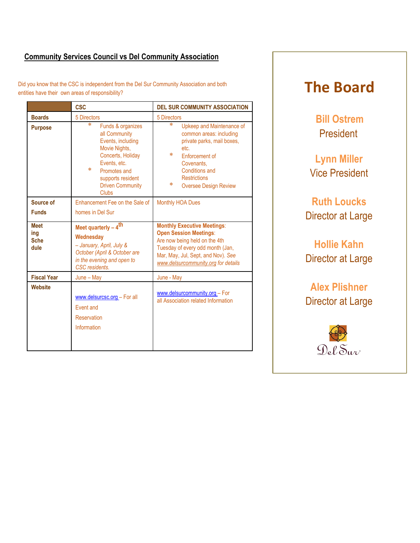### **Community Services Council vs Del Community Association**

Did you know that the CSC is independent from the Del Sur Community Association and both entities have their own areas of responsibility?

|                                           | <b>CSC</b>                                                                                                                                                                                              | <b>DEL SUR COMMUNITY ASSOCIATION</b>                                                                                                                                                                                           |
|-------------------------------------------|---------------------------------------------------------------------------------------------------------------------------------------------------------------------------------------------------------|--------------------------------------------------------------------------------------------------------------------------------------------------------------------------------------------------------------------------------|
| <b>Boards</b>                             | 5 Directors                                                                                                                                                                                             | 5 Directors                                                                                                                                                                                                                    |
| <b>Purpose</b>                            | *<br>Funds & organizes<br>all Community<br>Events, including<br>Movie Nights,<br>Concerts, Holiday<br>Events, etc.<br>*<br>Promotes and<br>supports resident<br><b>Driven Community</b><br><b>Clubs</b> | $\ast$<br>Upkeep and Maintenance of<br>common areas: including<br>private parks, mail boxes,<br>etc.<br>*<br>Enforcement of<br>Covenants.<br><b>Conditions and</b><br><b>Restrictions</b><br>*<br><b>Oversee Design Review</b> |
| Source of                                 | Enhancement Fee on the Sale of                                                                                                                                                                          | <b>Monthly HOA Dues</b>                                                                                                                                                                                                        |
| <b>Funds</b>                              | homes in Del Sur                                                                                                                                                                                        |                                                                                                                                                                                                                                |
| <b>Meet</b><br>ing<br><b>Sche</b><br>dule | Meet quarterly - 4 <sup>th</sup><br>Wednesday<br>- January, April, July &<br>October (April & October are<br>in the evening and open to<br>CSC residents.                                               | <b>Monthly Executive Meetings:</b><br><b>Open Session Meetings:</b><br>Are now being held on the 4th<br>Tuesday of every odd month (Jan,<br>Mar, May, Jul, Sept, and Nov). See<br>www.delsurcommunity.org for details          |
| <b>Fiscal Year</b>                        | June - May                                                                                                                                                                                              | June - May                                                                                                                                                                                                                     |
| Website                                   | www.delsurcsc.org - For all<br><b>Event and</b><br><b>Reservation</b><br>Information                                                                                                                    | www.delsurcommunity.org - For<br>all Association related Information                                                                                                                                                           |

# **The Board**

**Bill Ostrem President** 

**Lynn Miller** Vice President

**Ruth Loucks** Director at Large

**Hollie Kahn** Director at Large

**Alex Plishner** Director at Large